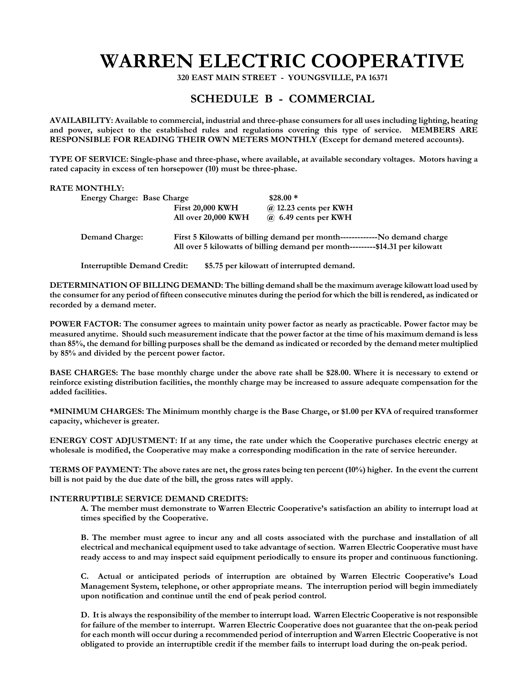## **WARREN ELECTRIC COOPERATIVE**

 **320 EAST MAIN STREET - YOUNGSVILLE, PA 16371** 

## **SCHEDULE B - COMMERCIAL**

**AVAILABILITY: Available to commercial, industrial and three-phase consumers for all uses including lighting, heating and power, subject to the established rules and regulations covering this type of service. MEMBERS ARE RESPONSIBLE FOR READING THEIR OWN METERS MONTHLY (Except for demand metered accounts).** 

**TYPE OF SERVICE: Single-phase and three-phase, where available, at available secondary voltages. Motors having a rated capacity in excess of ten horsepower (10) must be three-phase.** 

## **RATE MONTHLY:**

| <b>Energy Charge: Base Charge</b> |                                                                                                                                                              | $$28.00*$                    |
|-----------------------------------|--------------------------------------------------------------------------------------------------------------------------------------------------------------|------------------------------|
|                                   | <b>First 20,000 KWH</b>                                                                                                                                      | $\omega$ 12.23 cents per KWH |
|                                   | All over 20,000 KWH                                                                                                                                          | $\omega$ 6.49 cents per KWH  |
| <b>Demand Charge:</b>             | First 5 Kilowatts of billing demand per month--------------No demand charge<br>All over 5 kilowatts of billing demand per month---------\$14.31 per kilowatt |                              |

**Interruptible Demand Credit: \$5.75 per kilowatt of interrupted demand.** 

**DETERMINATION OF BILLING DEMAND: The billing demand shall be the maximum average kilowatt load used by the consumer for any period of fifteen consecutive minutes during the period for which the bill is rendered, as indicated or recorded by a demand meter.** 

**POWER FACTOR: The consumer agrees to maintain unity power factor as nearly as practicable. Power factor may be measured anytime. Should such measurement indicate that the power factor at the time of his maximum demand is less than 85%, the demand for billing purposes shall be the demand as indicated or recorded by the demand meter multiplied by 85% and divided by the percent power factor.** 

**BASE CHARGES: The base monthly charge under the above rate shall be \$28.00. Where it is necessary to extend or reinforce existing distribution facilities, the monthly charge may be increased to assure adequate compensation for the added facilities.** 

**\*MINIMUM CHARGES: The Minimum monthly charge is the Base Charge, or \$1.00 per KVA of required transformer capacity, whichever is greater.** 

**ENERGY COST ADJUSTMENT: If at any time, the rate under which the Cooperative purchases electric energy at wholesale is modified, the Cooperative may make a corresponding modification in the rate of service hereunder.** 

**TERMS OF PAYMENT: The above rates are net, the gross rates being ten percent (10%) higher. In the event the current bill is not paid by the due date of the bill, the gross rates will apply.** 

## **INTERRUPTIBLE SERVICE DEMAND CREDITS:**

**A. The member must demonstrate to Warren Electric Cooperative's satisfaction an ability to interrupt load at times specified by the Cooperative.** 

**B. The member must agree to incur any and all costs associated with the purchase and installation of all electrical and mechanical equipment used to take advantage of section. Warren Electric Cooperative must have ready access to and may inspect said equipment periodically to ensure its proper and continuous functioning.** 

**C. Actual or anticipated periods of interruption are obtained by Warren Electric Cooperative's Load Management System, telephone, or other appropriate means. The interruption period will begin immediately upon notification and continue until the end of peak period control.** 

**D. It is always the responsibility of the member to interrupt load. Warren Electric Cooperative is not responsible for failure of the member to interrupt. Warren Electric Cooperative does not guarantee that the on-peak period for each month will occur during a recommended period of interruption and Warren Electric Cooperative is not obligated to provide an interruptible credit if the member fails to interrupt load during the on-peak period.**